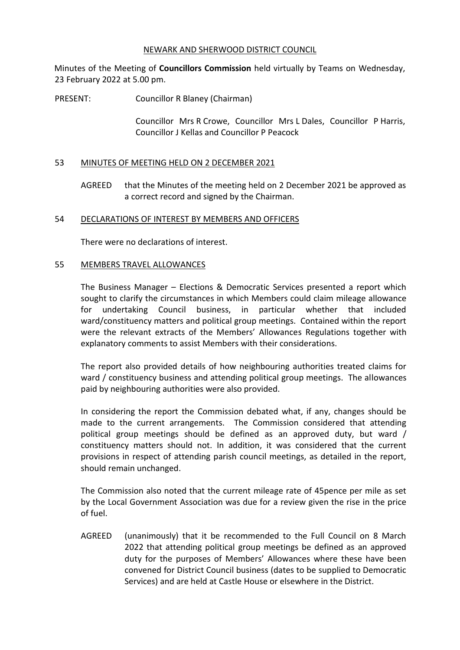#### NEWARK AND SHERWOOD DISTRICT COUNCIL

Minutes of the Meeting of **Councillors Commission** held virtually by Teams on Wednesday, 23 February 2022 at 5.00 pm.

PRESENT: Councillor R Blaney (Chairman)

Councillor Mrs R Crowe, Councillor Mrs L Dales, Councillor P Harris, Councillor J Kellas and Councillor P Peacock

## 53 MINUTES OF MEETING HELD ON 2 DECEMBER 2021

AGREED that the Minutes of the meeting held on 2 December 2021 be approved as a correct record and signed by the Chairman.

#### 54 DECLARATIONS OF INTEREST BY MEMBERS AND OFFICERS

There were no declarations of interest.

#### 55 MEMBERS TRAVEL ALLOWANCES

The Business Manager – Elections & Democratic Services presented a report which sought to clarify the circumstances in which Members could claim mileage allowance for undertaking Council business, in particular whether that included ward/constituency matters and political group meetings. Contained within the report were the relevant extracts of the Members' Allowances Regulations together with explanatory comments to assist Members with their considerations.

The report also provided details of how neighbouring authorities treated claims for ward / constituency business and attending political group meetings. The allowances paid by neighbouring authorities were also provided.

In considering the report the Commission debated what, if any, changes should be made to the current arrangements. The Commission considered that attending political group meetings should be defined as an approved duty, but ward / constituency matters should not. In addition, it was considered that the current provisions in respect of attending parish council meetings, as detailed in the report, should remain unchanged.

The Commission also noted that the current mileage rate of 45pence per mile as set by the Local Government Association was due for a review given the rise in the price of fuel.

AGREED (unanimously) that it be recommended to the Full Council on 8 March 2022 that attending political group meetings be defined as an approved duty for the purposes of Members' Allowances where these have been convened for District Council business (dates to be supplied to Democratic Services) and are held at Castle House or elsewhere in the District.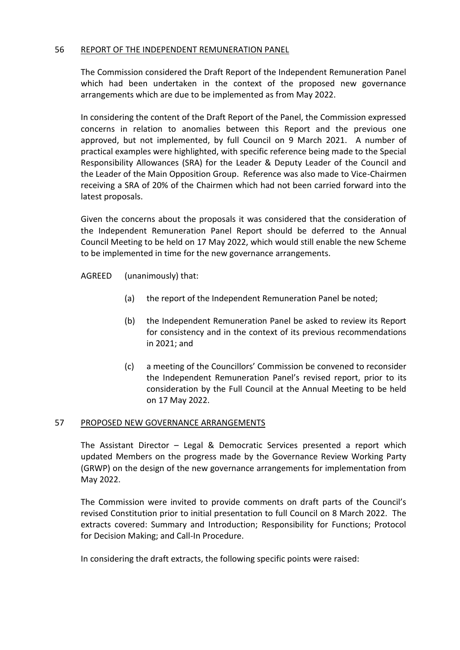## 56 REPORT OF THE INDEPENDENT REMUNERATION PANEL

The Commission considered the Draft Report of the Independent Remuneration Panel which had been undertaken in the context of the proposed new governance arrangements which are due to be implemented as from May 2022.

In considering the content of the Draft Report of the Panel, the Commission expressed concerns in relation to anomalies between this Report and the previous one approved, but not implemented, by full Council on 9 March 2021. A number of practical examples were highlighted, with specific reference being made to the Special Responsibility Allowances (SRA) for the Leader & Deputy Leader of the Council and the Leader of the Main Opposition Group. Reference was also made to Vice-Chairmen receiving a SRA of 20% of the Chairmen which had not been carried forward into the latest proposals.

Given the concerns about the proposals it was considered that the consideration of the Independent Remuneration Panel Report should be deferred to the Annual Council Meeting to be held on 17 May 2022, which would still enable the new Scheme to be implemented in time for the new governance arrangements.

AGREED (unanimously) that:

- (a) the report of the Independent Remuneration Panel be noted;
- (b) the Independent Remuneration Panel be asked to review its Report for consistency and in the context of its previous recommendations in 2021; and
- (c) a meeting of the Councillors' Commission be convened to reconsider the Independent Remuneration Panel's revised report, prior to its consideration by the Full Council at the Annual Meeting to be held on 17 May 2022.

## 57 PROPOSED NEW GOVERNANCE ARRANGEMENTS

The Assistant Director – Legal & Democratic Services presented a report which updated Members on the progress made by the Governance Review Working Party (GRWP) on the design of the new governance arrangements for implementation from May 2022.

The Commission were invited to provide comments on draft parts of the Council's revised Constitution prior to initial presentation to full Council on 8 March 2022. The extracts covered: Summary and Introduction; Responsibility for Functions; Protocol for Decision Making; and Call-In Procedure.

In considering the draft extracts, the following specific points were raised: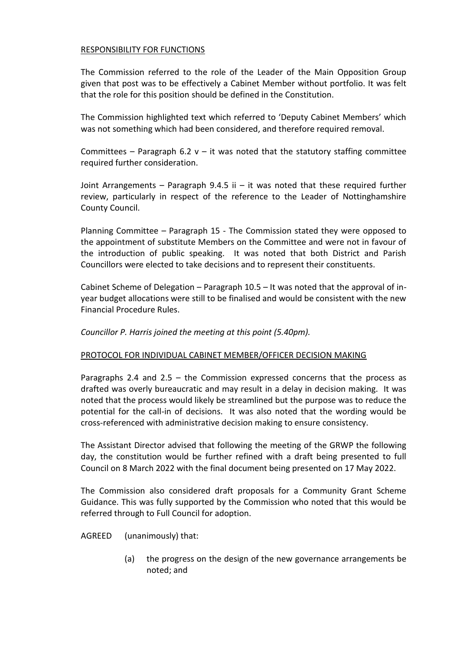## RESPONSIBILITY FOR FUNCTIONS

The Commission referred to the role of the Leader of the Main Opposition Group given that post was to be effectively a Cabinet Member without portfolio. It was felt that the role for this position should be defined in the Constitution.

The Commission highlighted text which referred to 'Deputy Cabinet Members' which was not something which had been considered, and therefore required removal.

Committees – Paragraph 6.2  $v - it$  was noted that the statutory staffing committee required further consideration.

Joint Arrangements – Paragraph 9.4.5 ii – it was noted that these required further review, particularly in respect of the reference to the Leader of Nottinghamshire County Council.

Planning Committee – Paragraph 15 - The Commission stated they were opposed to the appointment of substitute Members on the Committee and were not in favour of the introduction of public speaking. It was noted that both District and Parish Councillors were elected to take decisions and to represent their constituents.

Cabinet Scheme of Delegation – Paragraph 10.5 – It was noted that the approval of inyear budget allocations were still to be finalised and would be consistent with the new Financial Procedure Rules.

*Councillor P. Harris joined the meeting at this point (5.40pm).* 

# PROTOCOL FOR INDIVIDUAL CABINET MEMBER/OFFICER DECISION MAKING

Paragraphs 2.4 and 2.5 – the Commission expressed concerns that the process as drafted was overly bureaucratic and may result in a delay in decision making. It was noted that the process would likely be streamlined but the purpose was to reduce the potential for the call-in of decisions. It was also noted that the wording would be cross-referenced with administrative decision making to ensure consistency.

The Assistant Director advised that following the meeting of the GRWP the following day, the constitution would be further refined with a draft being presented to full Council on 8 March 2022 with the final document being presented on 17 May 2022.

The Commission also considered draft proposals for a Community Grant Scheme Guidance. This was fully supported by the Commission who noted that this would be referred through to Full Council for adoption.

AGREED (unanimously) that:

(a) the progress on the design of the new governance arrangements be noted; and